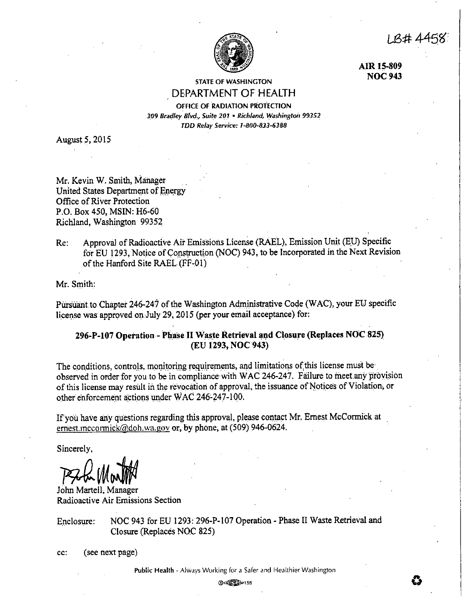I B# 4458.



**AIR 15-809 NOC943** 

STATE OF WASHINGTON DEPARTMENT OF HEALTH

OFFICE OF RADIATION PROTECTION 309 Bradley Blvd., Suite 201 · Richland, Washington 99352 *TDD Relay Service: 1-800-833-6388* 

August 5, 2015

Mr. Kevin W. Smith, Manager United States Department of Energy Office of River Protection P.O. Box 450, MSIN: H6-60 Richland, Washington 99352

Re: Approval of Radioactive Air Emissions License (RAEL), Emission Unit (EU) Specific for EU 1293, Notice of Construction (NOC) 943; to be Incorporated in the Next Revision of the Hanford Site RAEL(FF-01)

Mr. Smith:

Pursuant to Chapter 246-247 of the Washington Administrative Code (WAC), your EU specific license was approved on July 29, 2015 (per your email acceptance) for:

# 296-P-107 Operation - Phase II Waste Retrieval and Closure (Replaces NOC 825) (EU **1293, NOC943)**

The conditions, controls, monitoring requirements, and limitations of this license must be observed in order for you to be in compliance with WAC 246-247. Failure to meet any provision of this license may result in the revocation of approval, the issuance of Notices of Violation, or other enforcement actions under WAC 246°247-100.

If you have any questions regarding this approval, please contact Mr. Ernest McCormick at ernest.mccormick@doh.wa.gov or, by phone, at (509) 946-0624.

Sincerely,

**PAL MonTH** 

Radioactive Air Emissions Section

Enclosure: NOC 943 for EU 1293: 296-P-107 Operation - Phase II Waste Retrieval and Closure (Replaces NOC 825)

cc: ( see next page)

@(~155 **0**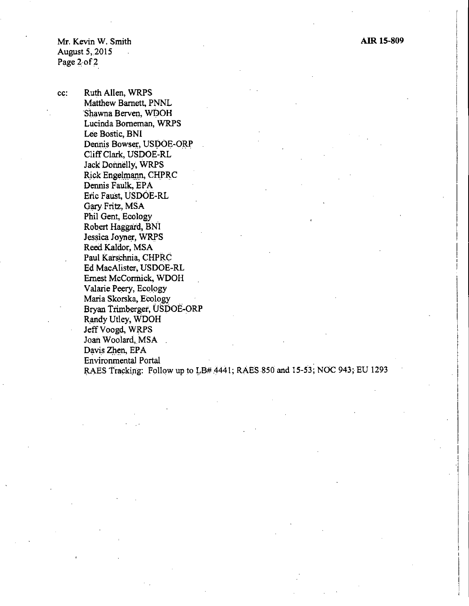Mr. Kevin W. Smith August  $5, 2015$ Page 2 of 2

cc: Ruth Allen, WRPS Matthew Barnett, PNNL Shawna Berven, WDOH Lucinda Borneman, WRPS Lee Bostic, BNI Dennis Bowser, USDOE-ORP Cliff Clark, USDOE-RL Jack Donnelly, WRPS Rick Engelmann, CHPRC Dennis Faulk, EPA Eric Faust, USDOE-RL Gary Fritz, MSA Phil Gent, Ecology Robert Haggard, BNl Jessica Joyner, WRPS Reed Kaldor, MSA Paul Karschnia, CHPRC Ed MacAlister, USDOE-RL Ernest McCormick, WDOH Valarie Peery, Ecology Maria Skorska, Ecology Bryan Trimberger, USDOE-ORP Randy Utley, WDOH Jeff Voogd, WRPS Joan Woolard, MSA Davis Zhen, EPA Environmental Portal . RAES Tracking: Follow up to LB# 4441; RAES 850 and 15-53; NOC 943; EU 1293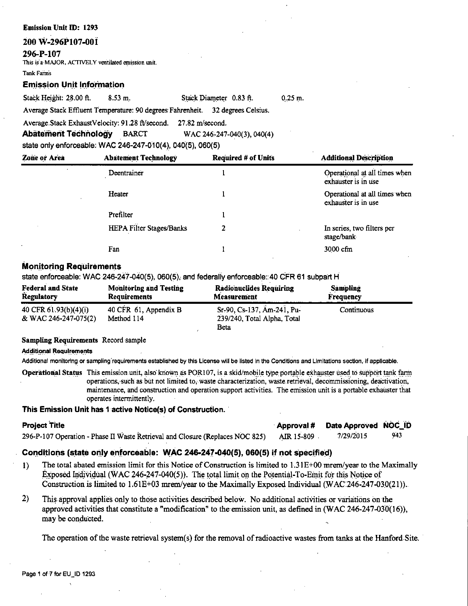## **Emission Unit** ID: 1293

## **200 W-296P107-00i**

**296-P-107** 

This is a MAJOR, ACTIVELY ventilated emission unit.

Tank Famis

## **Emission Unit Information**

Stack Height: 28.00 ft. 8.53 m. Stack Diameter 0.83 ft.

0,25 m.

Average Stack Effluent Temperature: 90 degrees Fahrenheit. 32 degrees Celsius.

Average.Stack ExhaustVelocity: 91.28 ft/second. 27.82 m/second.

**Abatement Technology** BARCT WAC 246°247-040(3), 040(4)

state only enforceable: WAC 246-247-010(4), 040{5), 060(5)

| <b>Zone or Area</b> | <b>Abatement Technology</b> | <b>Required # of Units</b> | <b>Additional Description</b>                        |
|---------------------|-----------------------------|----------------------------|------------------------------------------------------|
|                     | Deentrainer                 |                            | Operational at all times when<br>exhauster is in use |
|                     | Heater                      |                            | Operational at all times when<br>exhauster is in use |
|                     | Prefilter                   |                            |                                                      |
|                     | HEPA Filter Stages/Banks    | 2                          | In series, two filters per<br>stage/bank             |
|                     | Fan                         |                            | 3000 cfm                                             |

# **Monitoring Requirements**

state enforceable: WAC 246-247-040(5), 060(5), and federally enforceable::40 CFR 61 subpart H

| <b>Federal and State</b>                        | <b>Monitoring and Testing</b>       | <b>Radionuclides Requiring</b>                                    | <b>Sampling</b> |
|-------------------------------------------------|-------------------------------------|-------------------------------------------------------------------|-----------------|
| <b>Regulatory</b>                               | <b>Requirements</b>                 | Measurement                                                       | Frequency       |
| 40 CFR $61.93(b)(4)(i)$<br>& WAC 246-247-075(2) | 40 CFR 61, Appendix B<br>Method 114 | Sr-90, Cs-137, Am-241, Pu-<br>239/240, Total Alpha, Total<br>Beta | Continuous      |

## **Sampling Requirements** Record sample

## Additional Requirements

Additional monitoring or sampling requirements established by this License will be listed in the Conditions and Limitations section, if applicable.

Operational Status This emission unit, also known as POR107, is a skid/mobile type portable exhauster used to support tank farm operations, such as but not limited to, waste characterization, waste retrieval, decommissioning, deactivation, maintenance, and construction and operation support activities. The emission unit is a portable exhauster that operates intennittently.

# **This Emission Unit has 1 active Notice(s) of Construction.**

| <b>Project Title</b>                                                          |            | Approval # Date Approved NOC_ID |     |
|-------------------------------------------------------------------------------|------------|---------------------------------|-----|
| 296-P-107 Operation - Phase II Waste Retrieval and Closure (Replaces NOC 825) | AIR 15-809 | 7/29/2015                       | 943 |

# **Coriditioris (state only enforceable: WAC 246-247-040(5), 060(5) if not specified)**

- I) The total abated emission limit for this Notice of Construction is limited to 1.3 lE+OO mrem/year to the Maximally Exposed Individual (WAC 246-247-040(5)). The total limit on the Potential-To-Emit for this Notice of Construction is limited to 1.61E+03 mrem/year to the Maximally Exposed Individual (WAC 246-247-030(21)).
- 2) This approval applies only to those activities described below. No additional activities or variations onthe approved activities that constitute a "modification" to the emission unit, as defined in (WAC 246-247-030(16)), may be conducted.

The operation of the waste retrieval system(s) for the removal of radioactive wastes from tanks at the Hanford.Site.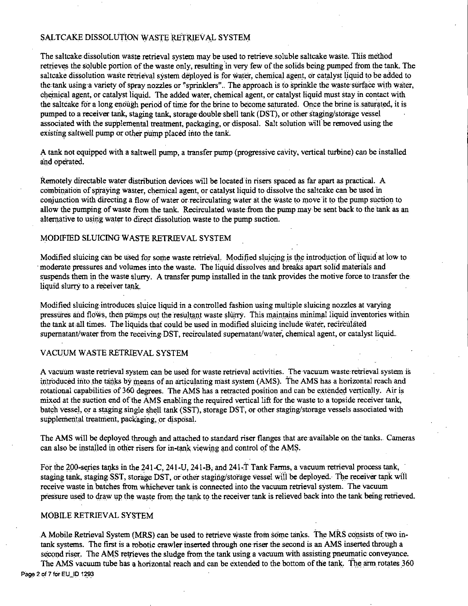# SALTCAKE DISSOLUTION WASTE RETRIEVAL SYSTEM

The saltcake,dissolution waste retrieval system may be used to retrieve.soluble saltcake waste. This method retrieves the soluble portion of the waste only, resulting 'in very few of the solids being pumped from the tank. The saltcake dissolution waste retrieval system deployed is for water, chemical agent, or catalyst liquid to be added to the tank using a variety of spray nozzles or "sprinklers". The approach is to sprinkle the waste surface with water, chemical agent, or catalyst liquid. The added water, chemical agent, or catalyst liquid must stay in contact with the saltcake for a long enough period of time for the brine to become saturated. Once the brine is saturated, it is pumped to a receiver tank, staging tank, storage double shell tank (DST), or other staging/storage vessel associated with the supplemental treatment, packaging, or disposal. Salt solution will be removed using the existing saltwell pump or other pump placed into the tank.

A tank not equipped with a saltwell pump, a transfer pump (progressive cavity, vertical turbine) can be installed and operated.

Remotely directable water distribution devices will be located in risers spaced as far apart as practical. A combination of spraying waster, chemical agent, or catalyst liquid to dissolve the saltcake can be used in conjunction with directing a flow of water or recirculating water at the waste to move it to the pump suction to allow the pumping of waste from the tank. Recirculated waste from the pump may be sent back to the tank as an alternative to using water to direct dissolution waste to the pump suction.

# MODIFIED SLUICING WASTE RETRIEVAL SYSTEM

Modified sluicing can be used for some waste retrieval. Modified sluicing is the introduction of liquid at low to · moderate pressures and volumes into the waste. The liquid dissolves and breaks apart solid materials and suspends them in the waste slurry. A transfer pump installed in the tank provides the motive force to transfer the liquid slurry to a receiver tank.

Modified sluicing introduces sluice liquid in a controlled fashion using multiple sluicing nozzles at varying pressures and flows, then pumps out the resultant waste slurry. This maintains minimal liquid inventories within the. tank at all times. The liquids. thai could be used in modified sluicing include water, recirculated supernatant/water from the receiving-DST, recirculated supernatant/water, chemical agent, or catalyst liquid..

# VACUUM WASTE RETRIEVAL SYSTEM

A vacuum waste retrieval system can be used for waste retrieval activities. The vacuum waste retrieval system is introduced into the tanks by means of an articulating mast system (AMS). The AMS has a horizontal reach and rotational capabilities of 360 degrees. The AMS has a retracted position and can be extended vertically. Air is mixed at the suction end of the  $\angle$ AMS enabling the required vertical lift for the waste to a topside receiver tank, batch vessel, or a staging single shell tank (SST), storage DST, or other staging/storage vessels associated with supplemental treatment, packaging, or disposal.

The AMS will be deployed through and attached to standard riser flanges that are available on the tanks. Cameras can also be installed in other risers for in-tank viewing and control of the AMS.

For the 200-series tanks in the 241-C, 241-U, 241-B, and 241-T Tank Farms, a vacuum retrieval process tank, staging tank, staging SST, storage DST, or other staging/storage vessel will be deployed. The receiver tank will receive waste in batches from whichever tank is connected into the vacuum retrieval system. The vacuum pressure used to draw up the waste from the tank to the receiver tank is relieved back into the tank being retrieved.

## MOBILE RETRIEVAL SYSTEM

A Mobile Retrieval System (MRS) can be used to retrieve waste from some tanks. The MRS consists of two intank systems. The first is a robotic crawler inserted through one riser the second is an AMS inserted through a second riser. The AMS retrieves the sludge from the tank using a vacuum with assisting pneumatic conveyance.

The AMS vacuum tube has a horizontal reach and can be extended to the bottom of the tank. The arm rotates 360 Page 2 of 7 for EU\_ID 1293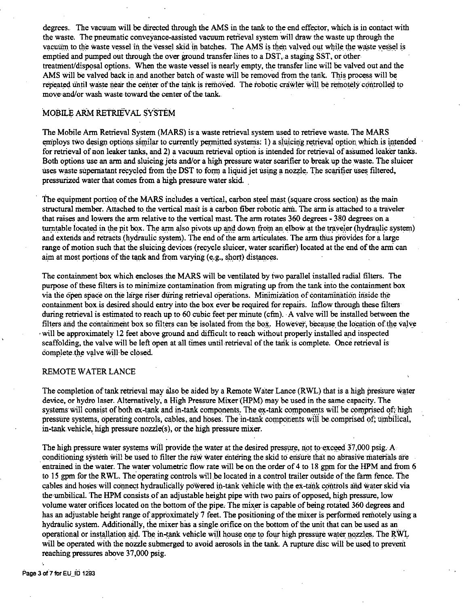degrees. The vacuum will be directed through the AMS in the tank to the end effector, which is in contact with the waste. The pneumatic conveyance-assisted vacuum retrieval system will draw the waste up through the vacuum to the waste vessel in the vessel skid in batches. The AMS is then valved out while the waste vessel is emptied and pumped out through the over ground transfer lines to a DST, a staging SST, or other treatment/disposal options. When the waste vessel is nearly empty, the transfer line will be valved out and the AMS will be valved back in and another batch of waste will be removed from the tank. This process will be repeated until waste near the center of the tank is removed. The robotic crawler will be remotely controlled to move and/or wash waste toward the center of the tank.

# MOBILE ARM RETRIEVAL SYSTEM

The Mobile Arm Retrieval System (MARS) is a waste retrieval system used to retrieve waste. The MARS employs two design options similar to currently permitted systems: 1) a sluicing retrieval option which is intended for retrieval of non leaker tanks, and 2) a vacuum retrieval option is intended for retrieval of assumed leaker tanks. Both options use an arm and sluicing jets and/or a high pressure water scarifier to break up the waste. The sluicer uses waste supernatant recycled from the DST to form a liquid jet using a nozzle. The scarifier uses filtered, pressurized water that comes from a high pressure water skid.

The equipment portion of the MARS includes a vertical, carbon steel mast (square cross section) as the main structural member. Attached to the vertical mast is a carbon fiber robotic arm. The arm is attached to a traveler that raises and lowers the arm relative to the vertical mast. The arm rotates 360 degrees - 380 degrees on a turntable located in the pit box. The arm also pivots up and down from an elbow at the traveler (hydraulic system) and extends and retracts (hydraulic system). The end of the arm articulates. The arm thus provides for a large range of motion such that the sluicing devices (recycle sluicer, water scarifier) located at the end of the arm can aim at most portions of the tank and from varying (e.g., short) distances.

The containment box which encloses the MARS will be ventilated by two parallel installed radial filters. The purpose of these filters is to minimize contamination from migrating up from the tank into the containment box via the open space on the large riser during retrieval operations. Minimization of contamination inside the containment box is desired should entry into the box ever be required for repairs. Inflow through these filters during retrieval is estimated to reach up to 60 cubic feet per minute (cfm). A valve will be installed between the filters and the containment box so filters can be isolated from the box. However, because the location of the valve will be approximately 12 feet above ground and difficult to reach without properly installed and inspected scaffolding, the valve will be left open at all times until retrieval of the tank is complete. Once retrieval is complete the valve will be closed.

## REMOTE WATER LANCE

The completion of tank retrieval may also be aided by a Remote Water Lance (RWL) that is a high pressure water device, or hydro laser. Alternatively, a High Pressure Mixer (HPM) may be used in the same capacity. The systems will consist of both ex-tank and in-tank components. The ex-tank components will be comprised of, high pressure systems, operating controls, cables, and hoses. The in-tank components will be comprised of; umbilical, in-tank vehicle, high pressure nozzle(s), or the high pressure mixer.

The high pressure water systems will provide the water at the desired pressure, not to exceed 37,000 psig. A. conditioning system will be used to filter the raw water entering the skid to ensure that no abrasive materials are entrained in the water. The water volumetric flow rate will be on the order of 4 to 18 gpm for the HPM and from 6 to 15 gpm for the RWL. The operating controls will be located in a control trailer outside of the farm fence. The cables and hoses will connect hydraulically powered in-tank vehicle with the ex-tank controls and water skid via the umbilical. The HPM consists of an adjustable height pipe with two pairs of opposed, high pressure, low volume water orifices located on the bottom of the pipe. The mixer is capable of being rotated 360 degrees and has an adjustable height range of approximately 7 feet. The positioning of the mixer is performed remotely using a hydraulic system. Additionally, the mixer has a single orifice on the bottom of the unit that can be used as an operational or installation aid. The in-tank vehicle will house one to four high pressure water nozzles. The RWL will be operated with the nozzle submerged to avoid aerosols in the tank. A rupture disc will be used to prevent reaching pressures above 37,000 psig.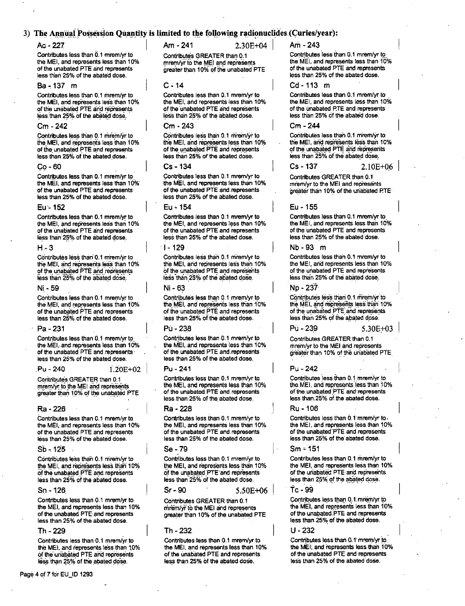## 3) The Annual Possession Ouantity is limited to the following radionuclides (Curies/year):

## $Ac - 227$

Contributes less than 0.1 mrem/vr to the MEI. and represents less than 10% of the unabated PTE and represents less than 25% of the abated dose.

### Ra - 137 m

Contributes less than 0.1 mrem/yr to the MEI, and represents less than 10% of the unabated PTE and represents less than 25% of the abated dose.

## $Cm - 242$

Contributes less than 0.1 mrem/yr to the MEI, and represents less than 10% of the unabated PTE and represents less than 25% of the abated dose.

#### $C_2 - 60$

Contributes less than 0.1 mrem/yr to the MEI, and represents less than 10% of the unabated PTE and represents less than 25% of the abated dose.

#### Eu - 152

Contributes less than 0.1 mrem/vr to the MEI, and represents less than 10% of the unabated PTE and represents less than 25% of the abated dose.

#### $H = 3$

Contributes less than 0.1 mrem/vr to the MEI, and represents less than 10% of the unabated PTE and represents less than 25% of the abated dose.

#### Ni - 59

Contributes less than 0.1 mrem/vr to the MEI, and represents less than 10% of the unabated PTE and represents less than 25% of the abated dose.

#### Pa - 231

Contributes less than 0.1 mrem/vr to the MEI, and represents less than 10% of the unabated PTE and represents less than 25% of the abated dose.

### Pu - 240

 $1.20E + 02$ 

Contributes GREATER than 0.1 mrem/yr to the MEI and represents greater than 10% of the unabated PTE

### Ra - 226

Contributes less than 0.1 mrem/yr to the MEI, and represents less than 10% of the unabated PTE and represents less than 25% of the abated dose.

### $Sh - 125$

Contributes less than 0.1 mrem/yr to the MEI, and represents less than 10% of the unabated PTE and represents less than 25% of the abated dose.

### $Sn - 126$

Contributes less than 0.1 mrem/vr to the MEI, and represents less than 10% of the unabated PTE and represents less than 25% of the abated dose.

#### Th - 229

Contributes less than 0.1 mrem/yr to the MEI, and represents less than 10% of the unabated PTE and represents less than 25% of the abated dose.

Am - 241

Am - 243

Contributes GREATER than 0.1 mrem/vr to the MEI and represents greater than 10% of the unabated PTE

 $2.30F + 04$ 

#### $C - 14$

Contributes less than 0.1 mrem/yr to the MEI, and represents less than 10% of the unabated PTE and represents less than 25% of the abated dose.

## Cm - 243

Contributes less than 0.1 mrem/yr to the MEI, and represents less than 10% of the unabated PTE and represents less than 25% of the abated dose.

## $Cs - 134$

Contributes less than 0.1 mrem/yr to the MEI, and represents less than 10% of the unabated PTE and represents less than 25% of the abated dose.

## Eu - 154

Contributes less than 0.1 mrem/vr to the MEI, and represents less than 10% of the unabated PTE and represents less than 25% of the abated dose.

#### <u> 1 - 129</u>

Contributes less than 0.1 mrem/yr to the MEI, and represents less than 10% of the unabated PTE and represents less than 25% of the abated dose.

#### Ni - 63

Contributes less than 0.1 mrem/vr to the MEI, and represents less than 10% of the unabated PTE and represents less than 25% of the abated dose.

#### Pri - 238

Contributes less than 0.1 mrem/vr to the MEI, and represents less than 10% of the unabated PTE and represents less than 25% of the abated dose.

#### $P_{11} = 241$

Contributes less than 0.1 mrem/yr to the MEI, and represents less than 10% of the unabated PTE and represents less than:25% of the abated dose.

### Ra - 228

Contributes less than 0.1 mrem/yr to the MEI, and represents less than 10% of the unabated PTE and represents less than 25% of the abated dose.

#### Se - 79

Contributes less than 0.1 mrem/yr to the MEI, and represents less than 10% of the unabated PTE and represents less than 25% of the abated dose.

 $Sr - 90$ 5.50E+06

Contributes GREATER than 0.1 mrem/vi to the MEI and represents greater than 10% of the unabated PTE

## Th - 232.

Contributes less than 0.1 mrem/yr to the MEI, and represents less than 10% of the unabated PTE and represents less than 25% of the abated dose.

Contributes less than 0.1 mrem/yr to

the MEI, and represents less than 10% of the unabated PTE and represents less than 25% of the abated dose.

### $Cd - 113$  m

Contributes less than 0.1 mrem/yr to the MEI, and represents less than 10% of the unabated PTE and represents less than 25% of the abated dose.

### $C_{\rm m}$  - 244

Contributes less than 0.1 mrem/yr to the MEI, and represents less than 10% of the unabated PTE and represents less than 25% of the abated dose.

 $Cs - 137$  $2.10E + 06$ 

Contributes GREATER than 0.1 mrem/yr to the MEI and represents greater than 10% of the unabated PTE

### Fu - 155

Contributes less than 0.1 mrem/yr to the MFL and represents less than 10% of the unabated PTE and represents less than 25% of the abated dose.

## Nb - 93 m

Contributes less than 0.1 mrem/yr to the MEI, and represents less than 10% of the unabated PTE and represents less than 25% of the abated dose.

### Np - 237

Pú - 239

Contributes less than 0.1 mrem/yr to the MEI, and represents less than 10% of the unabated PTE and represents less than 25% of the abated dose.

5.30E+03

Contributes GREATER than 0.1 mrem/vr to the MEI and represents greater than 10% of the unabated PTE

### $P_{11} - 242$

Contributes less than 0.1 mrem/yr to the MEI, and represents less than 10% of the unabated PTE and represents less than;25% of the abated dose.

#### $Ru - 106$

Contributes less than 0.1 mrem/yr to. the MEI, and represents less than 10% of the unabated PTE and represents less than 25% of the abated dose.

#### $Sm = 151$

Contributes less than 0.1 mrem/yr to the MEI, and represents less than 10% of the unabated PTE and represents less than 25% of the abated dose.

## $Tc - 99$

Contributes less than 0.1 mrem/yr to the MEI, and represents less than 10% of the unabated PTE and represents less than 25% of the abated dose.

#### U - 232

Contributes less than 0.1 mrem/yr to the MEI; and represents less than 10% of the unabated PTE and represents less than 25% of the abated dose.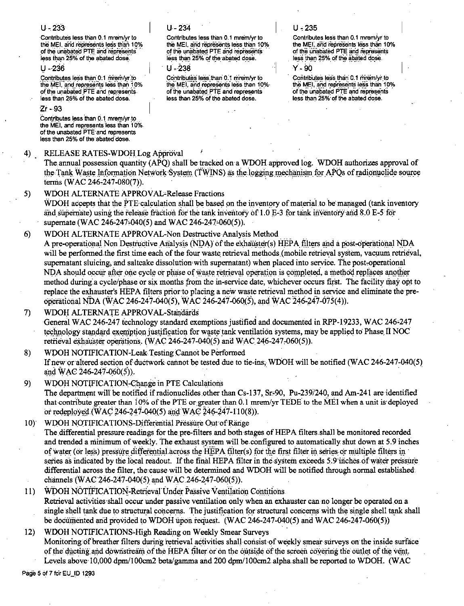## $U - 233$

Contributes less than 0.1 mrem/yr to the MEI, and represents less than 10% of the unabated PTE and represents less than 25% of the abated dose.

 $11 - 236$ 

Contributes less than 0.1 mrem/yr.to the MEI, and represents less than 10% of the unabated PTE and represents. less than 25% of the abated dose.

## $Zr - 93$

Contributes less than 0.1 mrem/yr to the MEI, and represents less than 10% of the unabated PTE and represents less than 25% of the abated dose.

#### $4)$ RELEASE RATES-WDOH Log Approval

 $U - 234$ 

Contributes less than 0.1 mrem/vr to the MEI, and represents less than 10% of the unabated PTE and represents less than 25% of the abated dose.

## $11 - 238$

Contributes less than 0.1 mrem/vr to the MEI, and represents less than 10% of the unabated PTE and represents less than 25% of the abated dose.

# $U - 235$

Contributes less than 0.1 mrem/vr to the MEI, and represents less than 10% of the unabated PTE and represents less than 25% of the abated dose.

y. an

Contributes less than 0.1 mrem/yr.to the MEI, and represents less than 10% of the unabated PTE and represents less than 25% of the abated dose.

The annual possession quantity (APO) shall be tracked on a WDOH approved log. WDOH authorizes approval of the Tank Waste Information Network System (TWINS) as the logging mechanism for APOs of radionuclide source terms (WAC 246-247-080(7)).

#### WDOH ALTERNATE APPROVAL-Release Fractions 5)

WDOH accepts that the PTE calculation shall be based on the inventory of material to be managed (tank inventory and supernate) using the release fraction for the tank inventory of 1.0 E-3 for tank inventory and 8.0 E-5 for supernate (WAC 246-247-040(5) and WAC 246-247-060(5)).

WDOH ALTERNATE APPROVAL-Non Destructive Analysis Method  $6)$ 

A pre-operational Non Destructive Analysis (NDA) of the exhauster(s) HEPA filters and a post-operational NDA will be performed the first time each of the four waste retrieval methods (mobile retrieval system, vacuum retrieval, supernatant sluicing, and saltcake dissolution with supernatant) when placed into service. The post-operational NDA should occur after one cycle or phase of waste retrieval operation is completed, a method replaces another method during a cycle/phase or six months from the in-service date, whichever occurs first. The facility may opt to replace the exhauster's HEPA filters prior to placing a new waste retrieval method in service and eliminate the preoperational NDA (WAC 246-247-040(5), WAC 246-247-060(5), and WAC 246-247-075(4)).

WDOH ALTERNATE APPROVAL-Standards  $\mathcal{D}$ General WAC 246-247 technology standard exemptions justified and documented in RPP-19233, WAC 246-247 technology standard exemption justification for waste tank ventilation systems, may be applied to Phase II NOC retrieval exhauster operations. (WAC 246-247-040(5) and WAC 246-247-060(5)).

8) WDOH NOTIFICATION-Leak Testing Cannot be Performed If new or altered section of ductwork cannot be tested due to tie-ins. WDOH will be notified (WAC 246-247-040(5) and WAC 246-247-060(5)).

- $9)$ WDOH NOTIFICATION-Change in PTE Calculations The department will be notified if radionuclides other than Cs-137, Sr-90, Pu-239/240, and Am-241 are identified that contribute greater than 10% of the PTE or greater than 0.1 mrem/yr TEDE to the MEI when a unit is deployed or redeployed (WAC 246-247-040(5) and WAC 246-247-110(8)).
- $10<sup>1</sup>$ WDOH NOTIFICATIONS-Differential Pressure Out of Range The differential pressure readings for the pre-filters and both stages of HEPA filters shall be monitored recorded and trended a minimum of weekly. The exhaust system will be configured to automatically shut down at 5.9 inches of water (or less) pressure differential across the HEPA filter(s) for the first filter in series or multiple filters in series as indicated by the local readout. If the final HEPA filter in the system exceeds 5.9 inches of water pressure differential across the filter, the cause will be determined and WDOH will be notified through normal established channels (WAC 246-247-040(5) and WAC 246-247-060(5)).
- WDOH NOTIFICATION-Retrieval Under Passive Ventilation Contitions  $11)$ Retrieval activities shall occur under passive ventilation only when an exhauster can no longer be operated on a single shell tank due to structural concerns. The justification for structural concerns with the single shell tank shall be documented and provided to WDOH upon request. (WAC 246-247-040(5) and WAC 246-247-060(5))
- $12)$ WDOH NOTIFICATIONS-High Reading on Weekly Smear Surveys Monitoring of breather filters during retrieval activities shall consist of weekly smear surveys on the inside surface of the ducting and downstream of the HEPA filter or on the outside of the screen covering the outlet of the vent. Levels above 10,000 dpm/100cm2 beta/gamma and 200 dpm/100cm2 alpha shall be reported to WDOH. (WAC

Page 5 of 7 for EU\_ID 1293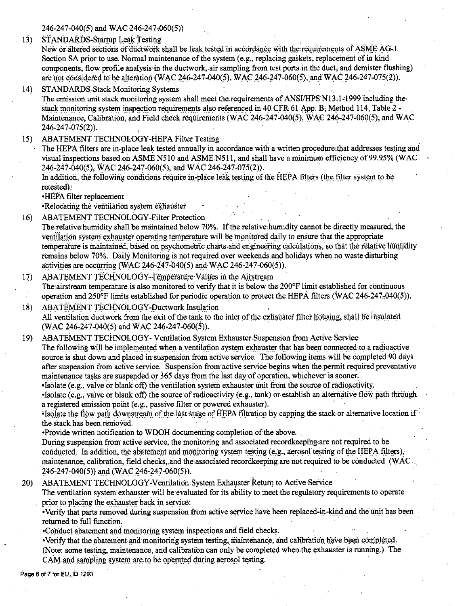246-247-040(5) and WAC 246-247-060(5))

STANDARDS-Startup Leak Testing  $13)$ 

New or altered sections of ductwork shall be leak tested in accordance with the requirements of ASME AG-1. Section SA prior to use. Normal maintenance of the system (e.g., replacing gaskets, replacement of in kind components. flow profile analysis in the ductwork, air sampling from test ports in the duct, and demister flushing) are not considered to be alteration (WAC 246-247-040(5), WAC 246-247-060(5), and WAC 246-247-075(2)).

 $14$ **STANDARDS-Stack Monitoring Systems** 

The emission unit stack monitoring system shall meet the requirements of ANSI/HPS N13.1-1999 including the stack monitoring system inspection requirements also referenced in 40 CFR 61 App. B. Method 114, Table 2 -Maintenance, Calibration, and Field check requirements (WAC 246-247-040(5), WAC 246-247-060(5), and WAC 246-247-075(2)).

ABATEMENT TECHNOLOGY-HEPA Filter Testing  $\overline{15}$ 

The HEPA filters are in-blace leak tested annually in accordance with a written procedure that addresses testing and visual inspections based on ASME N510 and ASME N511, and shall have a minimum efficiency of 99.95% (WAC 246-247-040(5), WAC 246-247-060(5), and WAC 246-247-075(2)).

In addition, the following conditions require in-place leak testing of the HEPA filters (the filter system to be retested):

•HEPA filter replacement

•Relocating the ventilation system exhauster

- **ABATEMENT TECHNOLOGY-Filter Protection**  $16)$ The relative humidity shall be maintained below 70%. If the relative humidity cannot be directly measured, the ventilation system exhauster operating temperature will be monitored daily to ensure that the appropriate temperature is maintained, based on psychometric charts and engineering calculations, so that the relative humidity remains below 70%. Daily Monitoring is not required over weekends and holidays when no waste disturbing activities are occurring (WAC 246-247-040(5) and WAC 246-247-060(5)).
- ABATEMENT TECHNOLOGY-Temperature Values in the Airstream  $17)$ The airstream temperature is also monitored to verify that it is below the 200°F limit established for continuous operation and  $250^{\circ}$  f limits established for periodic operation to protect the HEPA filters (WAC 246-247-040(5)).
- $18)$ ABATEMENT TECHNOLOGY-Ductwork Insulation All ventilation ductwork from the exit of the tank to the inlet of the exhauster filter housing, shall be insulated (WAC 246-247-040(5) and WAC 246-247-060(5)).
- ABATEMENT TECHNOLOGY-Ventilation System Exhauster Suspension from Active Service  $19)$ The following will be implemented when a ventilation system exhauster that has been connected to a radioactive source is shut down and placed in suspension from active service. The following items will be completed 90 days after suspension from active service. Suspension from active service begins when the permit required preventative maintenance tasks are suspended or 365 days from the last day of operation, whichever is sooner.

Isolate (e.g., valve or blank off) the ventilation system exhauster unit from the source of radioactivity. . Isolate (e.g., valve or blank off) the source of radioactivity (e.g., tank) or establish an alternative flow path through a registered emission point (e.g., passive filter or powered exhauster).

"Isolate the flow path downstream of the last stage of HEPA filtration by capping the stack or alternative location if the stack has been removed.

•Provide written notification to WDOH documenting completion of the above.

During suspension from active service, the monitoring and associated recordkeeping are not required to be conducted. In addition, the abatement and monitoring system testing (e.g., aerosol testing of the HEPA filters), maintenance, calibration, field checks, and the associated recordkeeping are not required to be conducted (WAC  $(246 - 247 - 040(5))$  and  $(\text{WAC } 246 - 247 - 060(5))$ .

ABATEMENT TECHNOLOGY-Ventilation System Exhauster Return to Active Service  $20<sub>1</sub>$ 

The ventilation system exhauster will be evaluated for its ability to meet the regulatory requirements to operate prior to placing the exhauster back in service:

•Verify that parts removed during suspension from active service have been replaced-in-kind and the unit has been returned to full function.

•Conduct abatement and monitoring system inspections and field checks.

·Verify that the abatement and monitoring system testing, maintenance, and calibration have been completed. (Note: some testing, maintenance, and calibration can only be completed when the exhauster is running.) The CAM and sampling system are to be operated during aerosol testing.

Page 6 of 7 for EU\_ID 1293